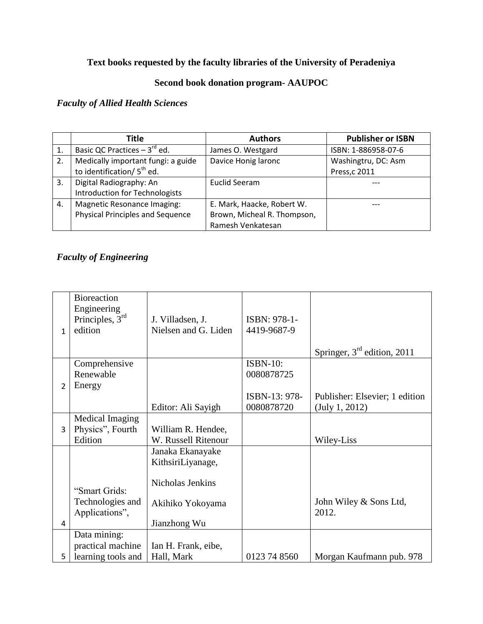# **Text books requested by the faculty libraries of the University of Peradeniya**

### **Second book donation program- AAUPOC**

### *Faculty of Allied Health Sciences*

|    | Title                                   | <b>Authors</b>              | <b>Publisher or ISBN</b> |  |
|----|-----------------------------------------|-----------------------------|--------------------------|--|
| 1. | Basic QC Practices $-3^{rd}$ ed.        | James O. Westgard           | ISBN: 1-886958-07-6      |  |
| 2. | Medically important fungi: a guide      | Davice Honig laronc         | Washingtru, DC: Asm      |  |
|    | to identification/5 <sup>th</sup> ed.   |                             | Press, c 2011            |  |
| 3. | Digital Radiography: An                 | Euclid Seeram               |                          |  |
|    | <b>Introduction for Technologists</b>   |                             |                          |  |
| 4. | Magnetic Resonance Imaging:             | E. Mark, Haacke, Robert W.  |                          |  |
|    | <b>Physical Principles and Sequence</b> | Brown, Micheal R. Thompson, |                          |  |
|    |                                         | Ramesh Venkatesan           |                          |  |

### *Faculty of Engineering*

|                | <b>Bioreaction</b><br>Engineering |                      |                 |                                |
|----------------|-----------------------------------|----------------------|-----------------|--------------------------------|
|                | Principles, $3rd$                 | J. Villadsen, J.     | ISBN: 978-1-    |                                |
| $\mathbf{1}$   | edition                           | Nielsen and G. Liden | 4419-9687-9     |                                |
|                |                                   |                      |                 |                                |
|                |                                   |                      |                 | Springer, $3rd$ edition, 2011  |
|                | Comprehensive                     |                      | <b>ISBN-10:</b> |                                |
|                | Renewable                         |                      | 0080878725      |                                |
| $\overline{2}$ | Energy                            |                      |                 |                                |
|                |                                   |                      | ISBN-13: 978-   | Publisher: Elsevier; 1 edition |
|                |                                   | Editor: Ali Sayigh   | 0080878720      | (July 1, 2012)                 |
|                | Medical Imaging                   |                      |                 |                                |
| 3              | Physics", Fourth                  | William R. Hendee,   |                 |                                |
|                | Edition                           | W. Russell Ritenour  |                 | Wiley-Liss                     |
|                |                                   | Janaka Ekanayake     |                 |                                |
|                |                                   | KithsiriLiyanage,    |                 |                                |
|                |                                   |                      |                 |                                |
|                |                                   | Nicholas Jenkins     |                 |                                |
|                | "Smart Grids:                     |                      |                 |                                |
|                | Technologies and                  | Akihiko Yokoyama     |                 | John Wiley & Sons Ltd,         |
|                | Applications",                    |                      |                 | 2012.                          |
| 4              |                                   | Jianzhong Wu         |                 |                                |
|                | Data mining:                      |                      |                 |                                |
|                | practical machine                 | Ian H. Frank, eibe,  |                 |                                |
| 5              | learning tools and                | Hall, Mark           | 0123 74 8560    | Morgan Kaufmann pub. 978       |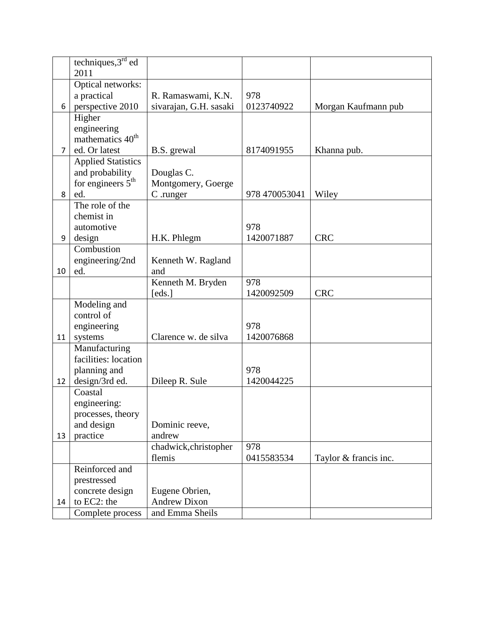|                | techniques, $3rd$ ed         |                             |               |                       |
|----------------|------------------------------|-----------------------------|---------------|-----------------------|
|                | 2011                         |                             |               |                       |
|                | Optical networks:            |                             |               |                       |
|                | a practical                  | R. Ramaswami, K.N.          | 978           |                       |
| 6              | perspective 2010             | sivarajan, G.H. sasaki      | 0123740922    | Morgan Kaufmann pub   |
|                | Higher                       |                             |               |                       |
|                | engineering                  |                             |               |                       |
|                | mathematics 40 <sup>th</sup> |                             |               |                       |
| $\overline{7}$ | ed. Or latest                | B.S. grewal                 | 8174091955    | Khanna pub.           |
|                | <b>Applied Statistics</b>    |                             |               |                       |
|                | and probability              | Douglas C.                  |               |                       |
|                | for engineers $5th$          | Montgomery, Goerge          |               |                       |
| 8              | ed.                          | C .runger                   | 978 470053041 | Wiley                 |
|                | The role of the              |                             |               |                       |
|                | chemist in                   |                             |               |                       |
|                | automotive                   |                             | 978           | <b>CRC</b>            |
| 9              | design                       | H.K. Phlegm                 | 1420071887    |                       |
|                | Combustion                   |                             |               |                       |
|                | engineering/2nd              | Kenneth W. Ragland          |               |                       |
| 10             | ed.                          | and                         | 978           |                       |
|                |                              | Kenneth M. Bryden<br>[eds.] | 1420092509    | <b>CRC</b>            |
|                | Modeling and                 |                             |               |                       |
|                | control of                   |                             |               |                       |
|                | engineering                  |                             | 978           |                       |
| 11             | systems                      | Clarence w. de silva        | 1420076868    |                       |
|                | Manufacturing                |                             |               |                       |
|                | facilities: location         |                             |               |                       |
|                | planning and                 |                             | 978           |                       |
| 12             | design/3rd ed.               | Dileep R. Sule              | 1420044225    |                       |
|                | Coastal                      |                             |               |                       |
|                | engineering:                 |                             |               |                       |
|                | processes, theory            |                             |               |                       |
|                | and design                   | Dominic reeve,              |               |                       |
| 13             | practice                     | andrew                      |               |                       |
|                |                              | chadwick, christopher       | 978           |                       |
|                |                              | flemis                      | 0415583534    | Taylor & francis inc. |
|                | Reinforced and               |                             |               |                       |
|                | prestressed                  |                             |               |                       |
|                | concrete design              | Eugene Obrien,              |               |                       |
| 14             | to EC2: the                  | <b>Andrew Dixon</b>         |               |                       |
|                | Complete process             | and Emma Sheils             |               |                       |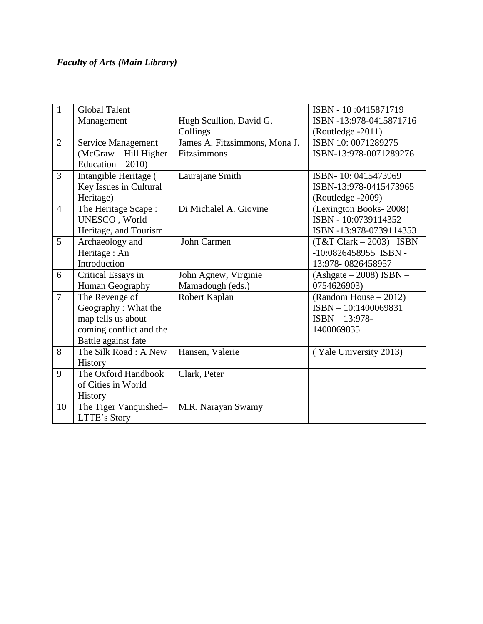# *Faculty of Arts (Main Library)*

| $\mathbf{1}$   | <b>Global Talent</b>    |                               | ISBN - 10:0415871719                   |
|----------------|-------------------------|-------------------------------|----------------------------------------|
|                | Management              | Hugh Scullion, David G.       | ISBN -13:978-0415871716                |
|                |                         | Collings                      | (Routledge -2011)                      |
| $\overline{2}$ | Service Management      | James A. Fitzsimmons, Mona J. | ISBN 10:0071289275                     |
|                | (McGraw - Hill Higher   | Fitzsimmons                   | ISBN-13:978-0071289276                 |
|                | Education $-2010$ )     |                               |                                        |
| $\overline{3}$ | Intangible Heritage (   | Laurajane Smith               | ISBN-10:0415473969                     |
|                | Key Issues in Cultural  |                               | ISBN-13:978-0415473965                 |
|                | Heritage)               |                               | (Routledge -2009)                      |
| $\overline{4}$ | The Heritage Scape:     | Di Michalel A. Giovine        | (Lexington Books-2008)                 |
|                | UNESCO, World           |                               | ISBN - 10:0739114352                   |
|                | Heritage, and Tourism   |                               | ISBN -13:978-0739114353                |
| 5              | Archaeology and         | John Carmen                   | $(T&TClark - 2003)$ ISBN               |
|                | Heritage: An            |                               | $-10:0826458955$ ISBN -                |
|                | Introduction            |                               | 13:978-0826458957                      |
| 6              | Critical Essays in      | John Agnew, Virginie          | $(Ashgate - 2008)$ ISBN -              |
|                | Human Geography         | Mamadough (eds.)              | 0754626903)                            |
| $\overline{7}$ | The Revenge of          | Robert Kaplan                 | (Random House – 2012)                  |
|                | Geography: What the     |                               | ISBN - 10:1400069831                   |
|                | map tells us about      |                               | ISBN - 13:978-                         |
|                | coming conflict and the |                               | 1400069835                             |
|                | Battle against fate     |                               |                                        |
| 8              | The Silk Road: A New    | Hansen, Valerie               | $\sqrt{\text{Y}}$ ale University 2013) |
|                | History                 |                               |                                        |
| 9              | The Oxford Handbook     | Clark, Peter                  |                                        |
|                | of Cities in World      |                               |                                        |
|                | History                 |                               |                                        |
| 10             | The Tiger Vanquished-   | M.R. Narayan Swamy            |                                        |
|                | LTTE's Story            |                               |                                        |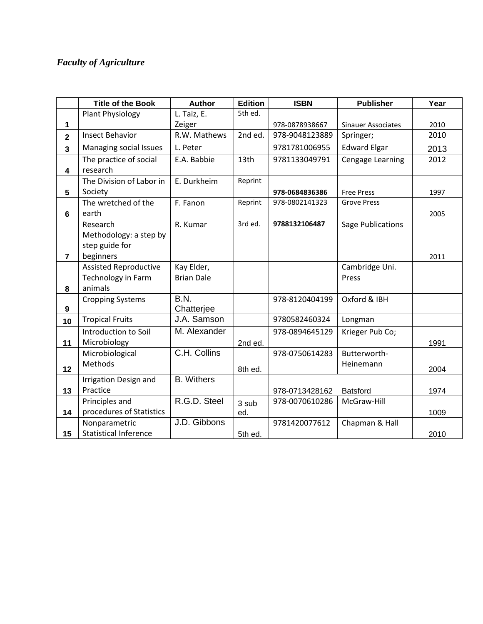# *Faculty of Agriculture*

|                         | <b>Title of the Book</b>     | <b>Author</b>     | <b>Edition</b> | <b>ISBN</b>    | <b>Publisher</b>          | Year |
|-------------------------|------------------------------|-------------------|----------------|----------------|---------------------------|------|
|                         | Plant Physiology             | L. Taiz, E.       | 5th ed.        |                |                           |      |
| 1                       |                              | Zeiger            |                | 978-0878938667 | <b>Sinauer Associates</b> | 2010 |
| $\overline{\mathbf{2}}$ | <b>Insect Behavior</b>       | R.W. Mathews      | 2nd ed.        | 978-9048123889 | Springer;                 | 2010 |
| 3                       | Managing social Issues       | L. Peter          |                | 9781781006955  | <b>Edward Elgar</b>       | 2013 |
|                         | The practice of social       | E.A. Babbie       | 13th           | 9781133049791  | Cengage Learning          | 2012 |
| 4                       | research                     |                   |                |                |                           |      |
|                         | The Division of Labor in     | E. Durkheim       | Reprint        |                |                           |      |
| 5                       | Society                      |                   |                | 978-0684836386 | <b>Free Press</b>         | 1997 |
|                         | The wretched of the          | F. Fanon          | Reprint        | 978-0802141323 | <b>Grove Press</b>        |      |
| 6                       | earth                        |                   |                |                |                           | 2005 |
|                         | Research                     | R. Kumar          | 3rd ed.        | 9788132106487  | Sage Publications         |      |
|                         | Methodology: a step by       |                   |                |                |                           |      |
|                         | step guide for               |                   |                |                |                           |      |
| $\overline{7}$          | beginners                    |                   |                |                |                           | 2011 |
|                         | <b>Assisted Reproductive</b> | Kay Elder,        |                |                | Cambridge Uni.            |      |
|                         | Technology in Farm           | <b>Brian Dale</b> |                |                | Press                     |      |
| 8                       | animals                      |                   |                |                |                           |      |
|                         | <b>Cropping Systems</b>      | B.N.              |                | 978-8120404199 | Oxford & IBH              |      |
| 9                       |                              | Chatterjee        |                |                |                           |      |
| 10                      | <b>Tropical Fruits</b>       | J.A. Samson       |                | 9780582460324  | Longman                   |      |
|                         | Introduction to Soil         | M. Alexander      |                | 978-0894645129 | Krieger Pub Co;           |      |
| 11                      | Microbiology                 |                   | 2nd ed.        |                |                           | 1991 |
|                         | Microbiological              | C.H. Collins      |                | 978-0750614283 | Butterworth-              |      |
| 12                      | <b>Methods</b>               |                   | 8th ed.        |                | Heinemann                 | 2004 |
|                         | Irrigation Design and        | <b>B.</b> Withers |                |                |                           |      |
| 13                      | Practice                     |                   |                | 978-0713428162 | <b>Batsford</b>           | 1974 |
|                         | Principles and               | R.G.D. Steel      | 3 sub          | 978-0070610286 | McGraw-Hill               |      |
| 14                      | procedures of Statistics     |                   | ed.            |                |                           | 1009 |
|                         | Nonparametric                | J.D. Gibbons      |                | 9781420077612  | Chapman & Hall            |      |
| 15                      | <b>Statistical Inference</b> |                   | 5th ed.        |                |                           | 2010 |